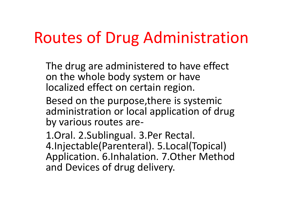#### Routes of Drug Administration

The drug are administered to have effect on the whole body system or have localized effect on certain region.

Besed on the purpose,there is systemic administration or local application of drug by various routes are-

1.Oral. 2.Sublingual. 3.Per Rectal. 4.Injectable(Parenteral). 5.Local(Topical) Application. 6.Inhalation. 7.Other Method and Devices of drug delivery.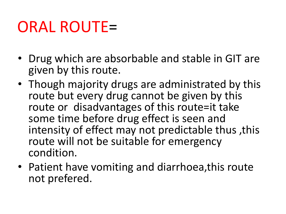### ORAL ROUTE=

- Drug which are absorbable and stable in GIT are given by this route.
- Though majority drugs are administrated by this route but every drug cannot be given by this route or disadvantages of this route=it take some time before drug effect is seen and intensity of effect may not predictable thus ,this route will not be suitable for emergency condition.
- Patient have vomiting and diarrhoea,this route not prefered.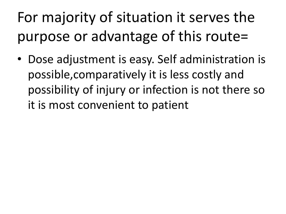## For majority of situation it serves the purpose or advantage of this route=

• Dose adjustment is easy. Self administration is possible,comparatively it is less costly and possibility of injury or infection is not there so it is most convenient to patient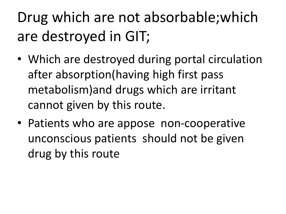# Drug which are not absorbable;which are destroyed in GIT;

- Which are destroyed during portal circulation after absorption(having high first pass metabolism)and drugs which are irritant cannot given by this route.
- Patients who are appose non-cooperative unconscious patients should not be given drug by this route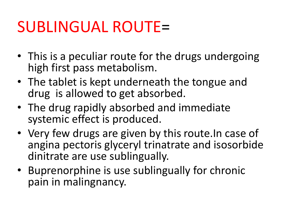#### SUBLINGUAL ROUTE=

- This is a peculiar route for the drugs undergoing high first pass metabolism.
- The tablet is kept underneath the tongue and drug is allowed to get absorbed.
- The drug rapidly absorbed and immediate systemic effect is produced.
- Very few drugs are given by this route.In case of angina pectoris glyceryl trinatrate and isosorbide dinitrate are use sublingually.
- Buprenorphine is use sublingually for chronic pain in malingnancy.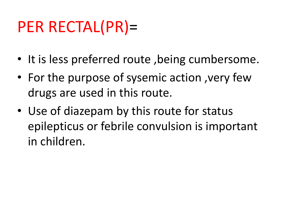## PER RECTAL(PR)=

- It is less preferred route, being cumbersome.
- For the purpose of sysemic action ,very few drugs are used in this route.
- Use of diazepam by this route for status epilepticus or febrile convulsion is important in children.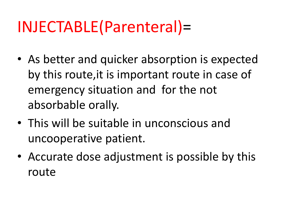### INJECTABLE(Parenteral)=

- As better and quicker absorption is expected by this route,it is important route in case of emergency situation and for the not absorbable orally.
- This will be suitable in unconscious and uncooperative patient.
- Accurate dose adjustment is possible by this route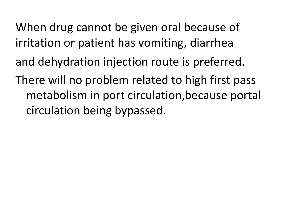When drug cannot be given oral because of irritation or patient has vomiting, diarrhea and dehydration injection route is preferred. There will no problem related to high first pass metabolism in port circulation,because portal circulation being bypassed.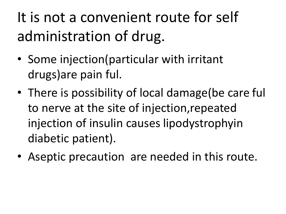## It is not a convenient route for self administration of drug.

- Some injection(particular with irritant drugs)are pain ful.
- There is possibility of local damage(be care ful to nerve at the site of injection,repeated injection of insulin causes lipodystrophyin diabetic patient).
- Aseptic precaution are needed in this route.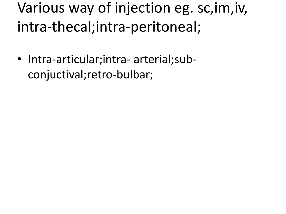Various way of injection eg. sc,im,iv, intra-thecal;intra-peritoneal;

• Intra-articular;intra- arterial;subconjuctival;retro-bulbar;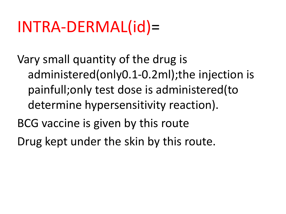### INTRA-DERMAL(id)=

Vary small quantity of the drug is administered(only0.1-0.2ml);the injection is painfull;only test dose is administered(to determine hypersensitivity reaction).

- BCG vaccine is given by this route
- Drug kept under the skin by this route.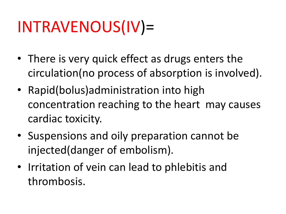# INTRAVENOUS(IV)=

- There is very quick effect as drugs enters the circulation(no process of absorption is involved).
- Rapid(bolus)administration into high concentration reaching to the heart may causes cardiac toxicity.
- Suspensions and oily preparation cannot be injected(danger of embolism).
- Irritation of vein can lead to phlebitis and thrombosis.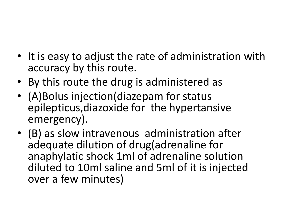- It is easy to adjust the rate of administration with accuracy by this route.
- By this route the drug is administered as
- (A)Bolus injection(diazepam for status epilepticus,diazoxide for the hypertansive emergency).
- (B) as slow intravenous administration after adequate dilution of drug(adrenaline for anaphylatic shock 1ml of adrenaline solution diluted to 10ml saline and 5ml of it is injected over a few minutes)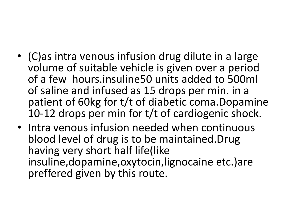- (C)as intra venous infusion drug dilute in a large volume of suitable vehicle is given over a period of a few hours.insuline50 units added to 500ml of saline and infused as 15 drops per min. in a patient of 60kg for t/t of diabetic coma.Dopamine 10-12 drops per min for t/t of cardiogenic shock.
- Intra venous infusion needed when continuous blood level of drug is to be maintained.Drug having very short half life(like insuline,dopamine,oxytocin,lignocaine etc.)are preffered given by this route.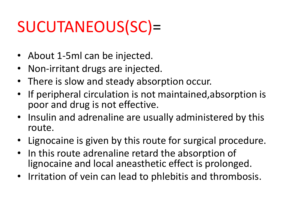# SUCUTANEOUS(SC)=

- About 1-5ml can be injected.
- Non-irritant drugs are injected.
- There is slow and steady absorption occur.
- If peripheral circulation is not maintained,absorption is poor and drug is not effective.
- Insulin and adrenaline are usually administered by this route.
- Lignocaine is given by this route for surgical procedure.
- In this route adrenaline retard the absorption of lignocaine and local aneasthetic effect is prolonged.
- Irritation of vein can lead to phlebitis and thrombosis.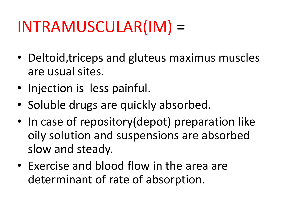## INTRAMUSCULAR(IM) =

- Deltoid,triceps and gluteus maximus muscles are usual sites.
- Injection is less painful.
- Soluble drugs are quickly absorbed.
- In case of repository (depot) preparation like oily solution and suspensions are absorbed slow and steady.
- Exercise and blood flow in the area are determinant of rate of absorption.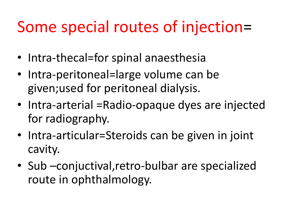### Some special routes of injection=

- Intra-thecal=for spinal anaesthesia
- Intra-peritoneal=large volume can be given;used for peritoneal dialysis.
- Intra-arterial = Radio-opaque dyes are injected for radiography.
- Intra-articular=Steroids can be given in joint cavity.
- Sub –conjuctival, retro-bulbar are specialized route in ophthalmology.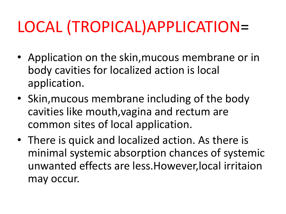# LOCAL (TROPICAL)APPLICATION=

- Application on the skin,mucous membrane or in body cavities for localized action is local application.
- Skin,mucous membrane including of the body cavities like mouth,vagina and rectum are common sites of local application.
- There is quick and localized action. As there is minimal systemic absorption chances of systemic unwanted effects are less.However,local irritaion may occur.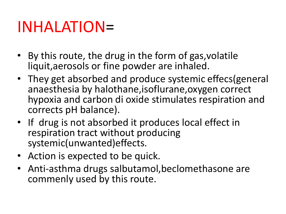#### INHALATION=

- By this route, the drug in the form of gas,volatile liquit,aerosols or fine powder are inhaled.
- They get absorbed and produce systemic effecs(general anaesthesia by halothane,isoflurane,oxygen correct hypoxia and carbon di oxide stimulates respiration and corrects pH balance).
- If drug is not absorbed it produces local effect in respiration tract without producing systemic(unwanted)effects.
- Action is expected to be quick.
- Anti-asthma drugs salbutamol,beclomethasone are commenly used by this route.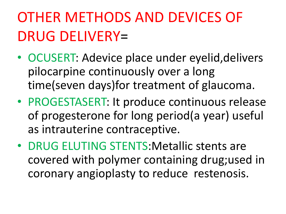### OTHER METHODS AND DEVICES OF DRUG DELIVERY=

- OCUSERT: Adevice place under eyelid,delivers pilocarpine continuously over a long time(seven days)for treatment of glaucoma.
- PROGESTASERT: It produce continuous release of progesterone for long period(a year) useful as intrauterine contraceptive.
- DRUG ELUTING STENTS:Metallic stents are covered with polymer containing drug;used in coronary angioplasty to reduce restenosis.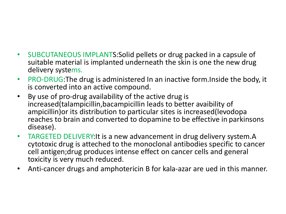- SUBCUTANEOUS IMPLANTS:Solid pellets or drug packed in a capsule of suitable material is implanted underneath the skin is one the new drug delivery systems.
- PRO-DRUG:The drug is administered In an inactive form.Inside the body, it is converted into an active compound.
- By use of pro-drug availability of the active drug is increased(talampicillin,bacampicillin leads to better avaibility of ampicillin)or its distribution to particular sites is increased(levodopa reaches to brain and converted to dopamine to be effective in parkinsons disease).
- TARGETED DELIVERY:It is a new advancement in drug delivery system.A cytotoxic drug is atteched to the monoclonal antibodies specific to cancer cell antigen;drug produces intense effect on cancer cells and general toxicity is very much reduced.
- Anti-cancer drugs and amphotericin B for kala-azar are ued in this manner.